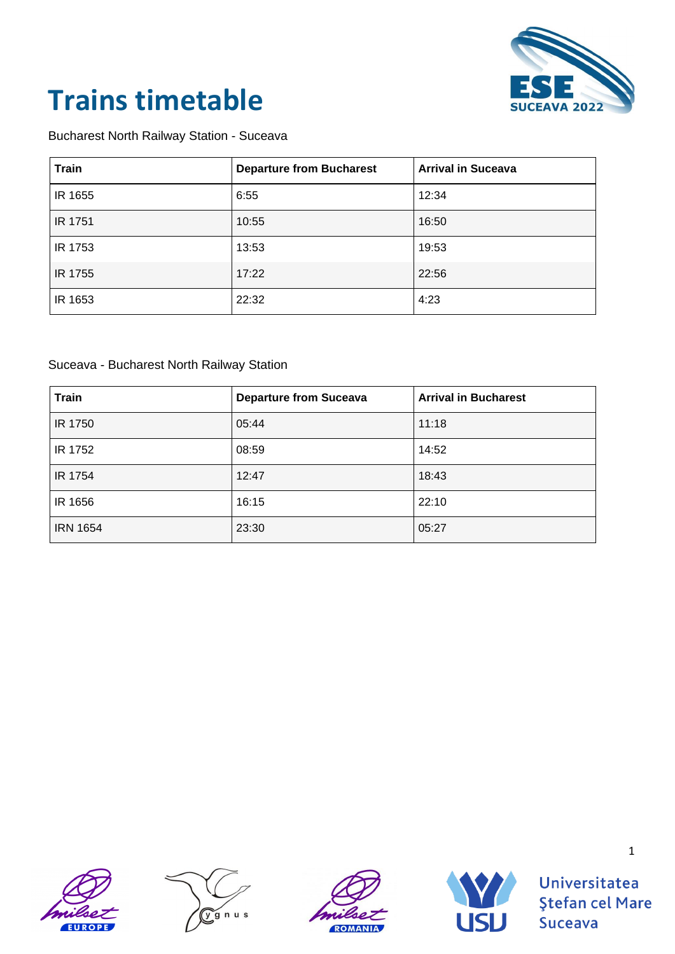

### Bucharest North Railway Station - Suceava

| <b>Train</b> | <b>Departure from Bucharest</b> | <b>Arrival in Suceava</b> |
|--------------|---------------------------------|---------------------------|
| IR 1655      | 6:55                            | 12:34                     |
| IR 1751      | 10:55                           | 16:50                     |
| IR 1753      | 13:53                           | 19:53                     |
| IR 1755      | 17:22                           | 22:56                     |
| IR 1653      | 22:32                           | 4:23                      |

### Suceava - Bucharest North Railway Station

| <b>Train</b>    | <b>Departure from Suceava</b> | <b>Arrival in Bucharest</b> |
|-----------------|-------------------------------|-----------------------------|
| IR 1750         | 05:44                         | 11:18                       |
| IR 1752         | 08:59                         | 14:52                       |
| IR 1754         | 12:47                         | 18:43                       |
| IR 1656         | 16:15                         | 22:10                       |
| <b>IRN 1654</b> | 23:30                         | 05:27                       |









Universitatea **Ştefan cel Mare Suceava**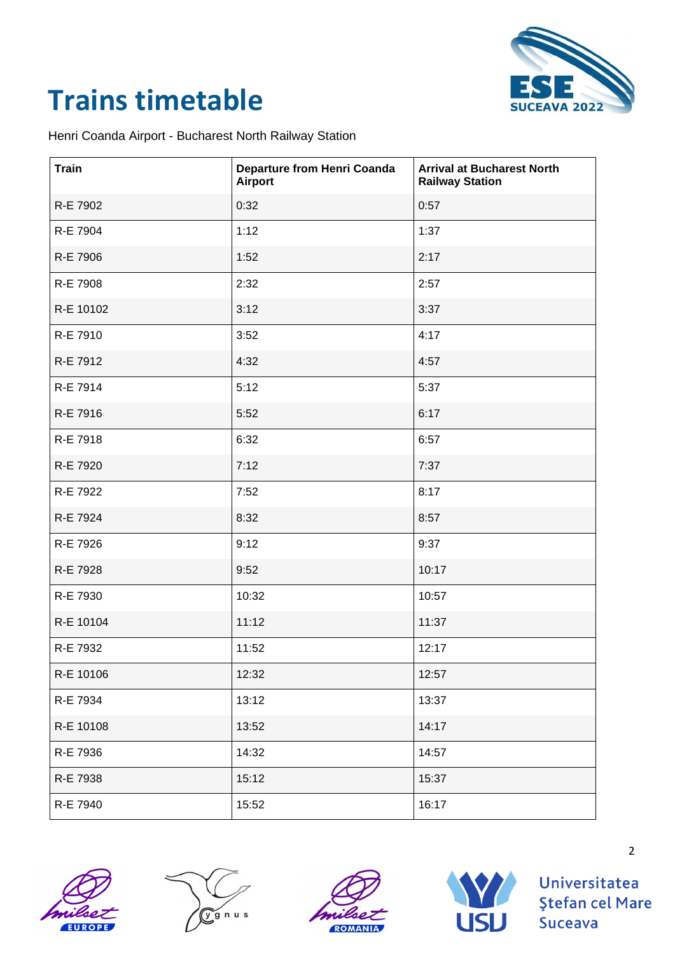

Henri Coanda Airport - Bucharest North Railway Station

| <b>Train</b> | <b>Departure from Henri Coanda</b><br><b>Airport</b> | <b>Arrival at Bucharest North</b><br><b>Railway Station</b> |
|--------------|------------------------------------------------------|-------------------------------------------------------------|
| R-E 7902     | 0:32                                                 | 0:57                                                        |
| R-E 7904     | 1:12                                                 | 1:37                                                        |
| R-E 7906     | 1:52                                                 | 2:17                                                        |
| R-E 7908     | 2:32                                                 | 2:57                                                        |
| R-E 10102    | 3:12                                                 | 3:37                                                        |
| R-E 7910     | 3:52                                                 | 4:17                                                        |
| R-E 7912     | 4:32                                                 | 4:57                                                        |
| R-E 7914     | 5:12                                                 | 5:37                                                        |
| R-E 7916     | 5:52                                                 | 6:17                                                        |
| R-E 7918     | 6:32                                                 | 6:57                                                        |
| R-E 7920     | 7:12                                                 | 7:37                                                        |
| R-E 7922     | 7:52                                                 | 8:17                                                        |
| R-E 7924     | 8:32                                                 | 8:57                                                        |
| R-E 7926     | 9:12                                                 | 9:37                                                        |
| R-E 7928     | 9:52                                                 | 10:17                                                       |
| R-E 7930     | 10:32                                                | 10:57                                                       |
| R-E 10104    | 11:12                                                | 11:37                                                       |
| R-E 7932     | 11:52                                                | 12:17                                                       |
| R-E 10106    | 12:32                                                | 12:57                                                       |
| R-E 7934     | 13:12                                                | 13:37                                                       |
| R-E 10108    | 13:52                                                | 14:17                                                       |
| R-E 7936     | 14:32                                                | 14:57                                                       |
| R-E 7938     | 15:12                                                | 15:37                                                       |
| R-E 7940     | 15:52                                                | 16:17                                                       |









Universitatea **Ştefan cel Mare Suceava**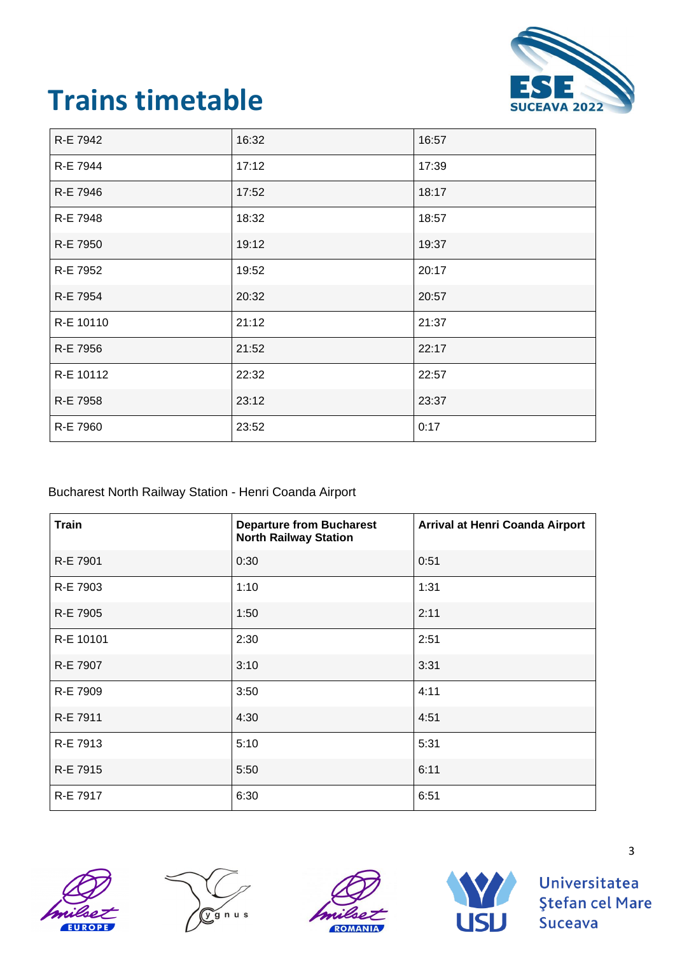

| R-E 7942  | 16:32 | 16:57 |
|-----------|-------|-------|
| R-E 7944  | 17:12 | 17:39 |
| R-E 7946  | 17:52 | 18:17 |
| R-E 7948  | 18:32 | 18:57 |
| R-E 7950  | 19:12 | 19:37 |
| R-E 7952  | 19:52 | 20:17 |
| R-E 7954  | 20:32 | 20:57 |
| R-E 10110 | 21:12 | 21:37 |
| R-E 7956  | 21:52 | 22:17 |
| R-E 10112 | 22:32 | 22:57 |
| R-E 7958  | 23:12 | 23:37 |
| R-E 7960  | 23:52 | 0:17  |

### Bucharest North Railway Station - Henri Coanda Airport

| <b>Train</b> | <b>Departure from Bucharest</b><br><b>North Railway Station</b> | Arrival at Henri Coanda Airport |
|--------------|-----------------------------------------------------------------|---------------------------------|
| R-E 7901     | 0:30                                                            | 0:51                            |
| R-E 7903     | 1:10                                                            | 1:31                            |
| R-E 7905     | 1:50                                                            | 2:11                            |
| R-E 10101    | 2:30                                                            | 2:51                            |
| R-E 7907     | 3:10                                                            | 3:31                            |
| R-E 7909     | 3:50                                                            | 4:11                            |
| R-E 7911     | 4:30                                                            | 4:51                            |
| R-E 7913     | 5:10                                                            | 5:31                            |
| R-E 7915     | 5:50                                                            | 6:11                            |
| R-E 7917     | 6:30                                                            | 6:51                            |









Universitatea **Ştefan cel Mare Suceava**